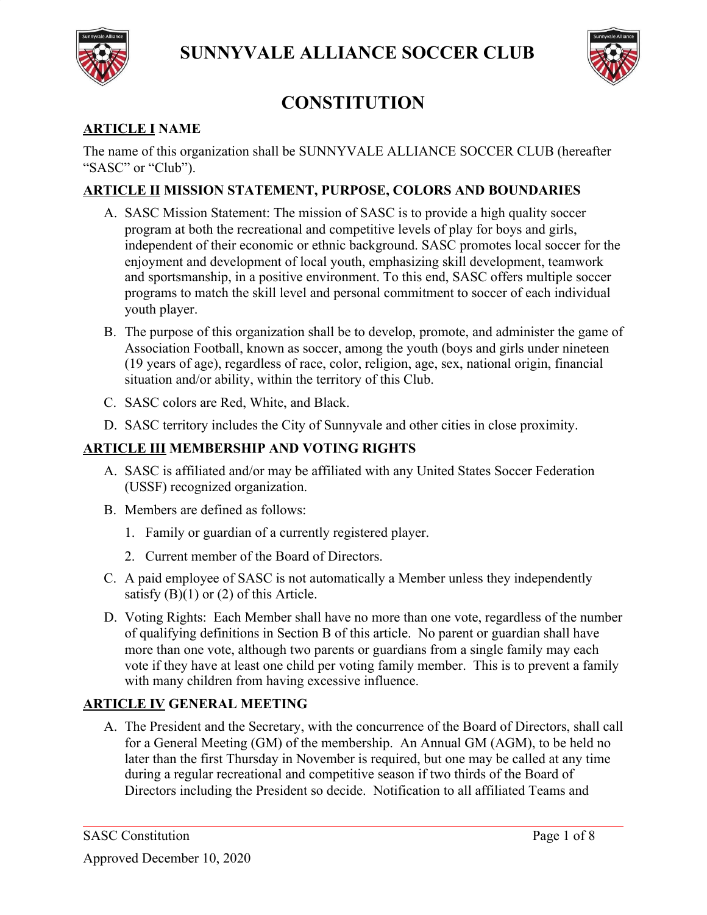



# **CONSTITUTION**

# **ARTICLE I NAME**

The name of this organization shall be SUNNYVALE ALLIANCE SOCCER CLUB (hereafter "SASC" or "Club").

# **ARTICLE II MISSION STATEMENT, PURPOSE, COLORS AND BOUNDARIES**

- A. SASC Mission Statement: The mission of SASC is to provide a high quality soccer program at both the recreational and competitive levels of play for boys and girls, independent of their economic or ethnic background. SASC promotes local soccer for the enjoyment and development of local youth, emphasizing skill development, teamwork and sportsmanship, in a positive environment. To this end, SASC offers multiple soccer programs to match the skill level and personal commitment to soccer of each individual youth player.
- B. The purpose of this organization shall be to develop, promote, and administer the game of Association Football, known as soccer, among the youth (boys and girls under nineteen (19 years of age), regardless of race, color, religion, age, sex, national origin, financial situation and/or ability, within the territory of this Club.
- C. SASC colors are Red, White, and Black.
- D. SASC territory includes the City of Sunnyvale and other cities in close proximity.

# **ARTICLE III MEMBERSHIP AND VOTING RIGHTS**

- A. SASC is affiliated and/or may be affiliated with any United States Soccer Federation (USSF) recognized organization.
- B. Members are defined as follows:
	- 1. Family or guardian of a currently registered player.
	- 2. Current member of the Board of Directors.
- C. A paid employee of SASC is not automatically a Member unless they independently satisfy  $(B)(1)$  or  $(2)$  of this Article.
- D. Voting Rights: Each Member shall have no more than one vote, regardless of the number of qualifying definitions in Section B of this article. No parent or guardian shall have more than one vote, although two parents or guardians from a single family may each vote if they have at least one child per voting family member. This is to prevent a family with many children from having excessive influence.

# **ARTICLE IV GENERAL MEETING**

A. The President and the Secretary, with the concurrence of the Board of Directors, shall call for a General Meeting (GM) of the membership. An Annual GM (AGM), to be held no later than the first Thursday in November is required, but one may be called at any time during a regular recreational and competitive season if two thirds of the Board of Directors including the President so decide. Notification to all affiliated Teams and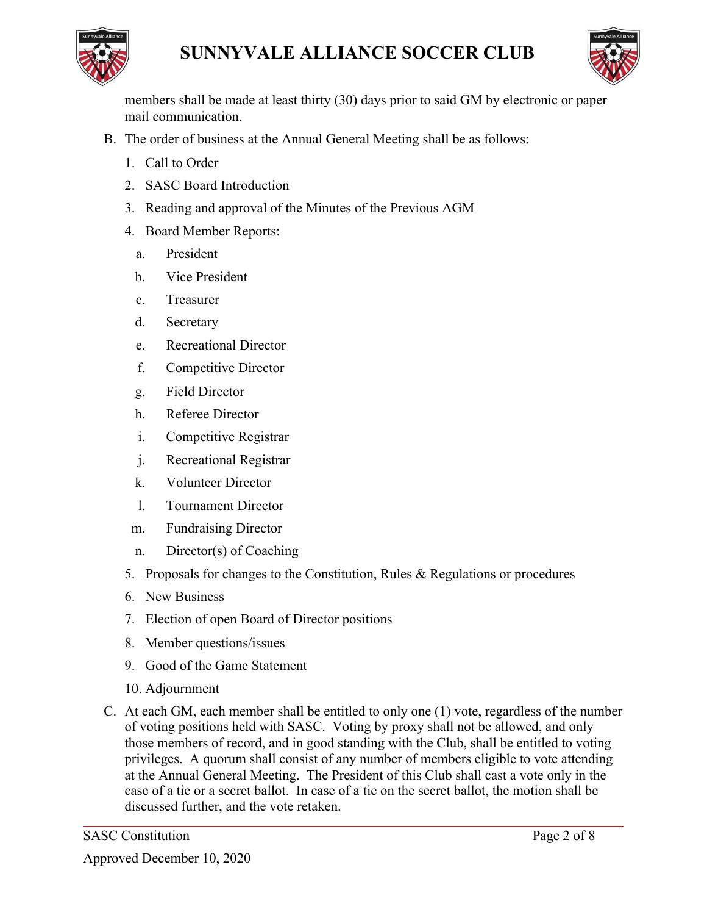



members shall be made at least thirty (30) days prior to said GM by electronic or paper mail communication.

- B. The order of business at the Annual General Meeting shall be as follows:
	- 1. Call to Order
	- 2. SASC Board Introduction
	- 3. Reading and approval of the Minutes of the Previous AGM
	- 4. Board Member Reports:
		- a. President
		- b. Vice President
		- c. Treasurer
		- d. Secretary
		- e. Recreational Director
		- f. Competitive Director
		- g. Field Director
		- h. Referee Director
		- i. Competitive Registrar
		- j. Recreational Registrar
		- k. Volunteer Director
		- l. Tournament Director
	- m. Fundraising Director
	- n. Director(s) of Coaching
	- 5. Proposals for changes to the Constitution, Rules & Regulations or procedures
	- 6. New Business
	- 7. Election of open Board of Director positions
	- 8. Member questions/issues
	- 9. Good of the Game Statement
	- 10. Adjournment
- C. At each GM, each member shall be entitled to only one (1) vote, regardless of the number of voting positions held with SASC. Voting by proxy shall not be allowed, and only those members of record, and in good standing with the Club, shall be entitled to voting privileges. A quorum shall consist of any number of members eligible to vote attending at the Annual General Meeting. The President of this Club shall cast a vote only in the case of a tie or a secret ballot. In case of a tie on the secret ballot, the motion shall be discussed further, and the vote retaken.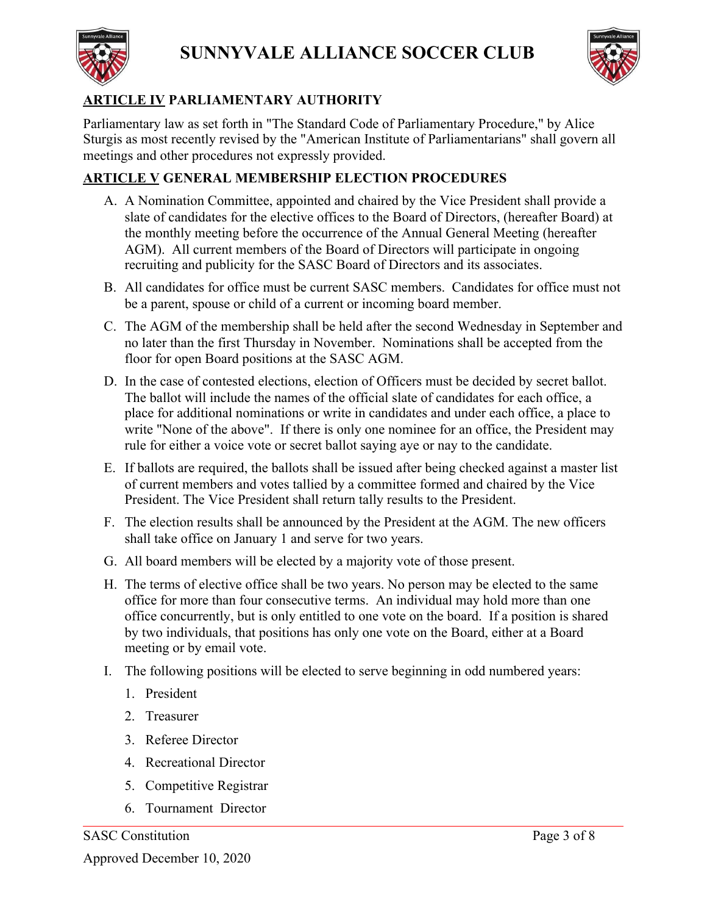



# **ARTICLE IV PARLIAMENTARY AUTHORITY**

Parliamentary law as set forth in "The Standard Code of Parliamentary Procedure," by Alice Sturgis as most recently revised by the "American Institute of Parliamentarians" shall govern all meetings and other procedures not expressly provided.

# **ARTICLE V GENERAL MEMBERSHIP ELECTION PROCEDURES**

- A. A Nomination Committee, appointed and chaired by the Vice President shall provide a slate of candidates for the elective offices to the Board of Directors, (hereafter Board) at the monthly meeting before the occurrence of the Annual General Meeting (hereafter AGM). All current members of the Board of Directors will participate in ongoing recruiting and publicity for the SASC Board of Directors and its associates.
- B. All candidates for office must be current SASC members. Candidates for office must not be a parent, spouse or child of a current or incoming board member.
- C. The AGM of the membership shall be held after the second Wednesday in September and no later than the first Thursday in November. Nominations shall be accepted from the floor for open Board positions at the SASC AGM.
- D. In the case of contested elections, election of Officers must be decided by secret ballot. The ballot will include the names of the official slate of candidates for each office, a place for additional nominations or write in candidates and under each office, a place to write "None of the above". If there is only one nominee for an office, the President may rule for either a voice vote or secret ballot saying aye or nay to the candidate.
- E. If ballots are required, the ballots shall be issued after being checked against a master list of current members and votes tallied by a committee formed and chaired by the Vice President. The Vice President shall return tally results to the President.
- F. The election results shall be announced by the President at the AGM. The new officers shall take office on January 1 and serve for two years.
- G. All board members will be elected by a majority vote of those present.
- H. The terms of elective office shall be two years. No person may be elected to the same office for more than four consecutive terms. An individual may hold more than one office concurrently, but is only entitled to one vote on the board. If a position is shared by two individuals, that positions has only one vote on the Board, either at a Board meeting or by email vote.
- I. The following positions will be elected to serve beginning in odd numbered years:
	- 1. President
	- 2. Treasurer
	- 3. Referee Director
	- 4. Recreational Director
	- 5. Competitive Registrar
	- 6. Tournament Director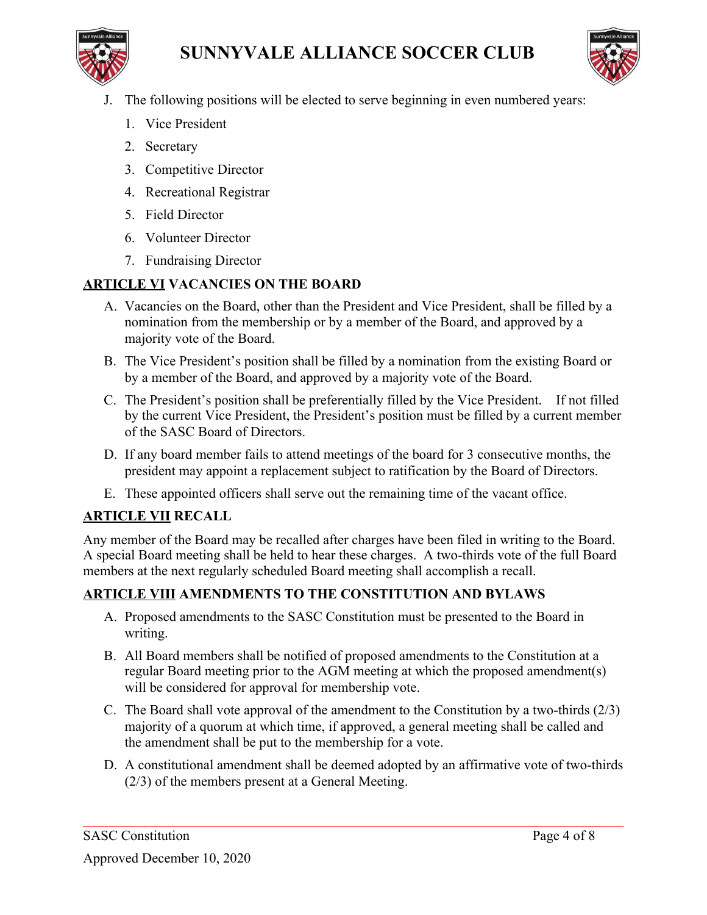



- J. The following positions will be elected to serve beginning in even numbered years:
	- 1. Vice President
	- 2. Secretary
	- 3. Competitive Director
	- 4. Recreational Registrar
	- 5. Field Director
	- 6. Volunteer Director
	- 7. Fundraising Director

# **ARTICLE VI VACANCIES ON THE BOARD**

- A. Vacancies on the Board, other than the President and Vice President, shall be filled by a nomination from the membership or by a member of the Board, and approved by a majority vote of the Board.
- B. The Vice President's position shall be filled by a nomination from the existing Board or by a member of the Board, and approved by a majority vote of the Board.
- C. The President's position shall be preferentially filled by the Vice President. If not filled by the current Vice President, the President's position must be filled by a current member of the SASC Board of Directors.
- D. If any board member fails to attend meetings of the board for 3 consecutive months, the president may appoint a replacement subject to ratification by the Board of Directors.
- E. These appointed officers shall serve out the remaining time of the vacant office.

# **ARTICLE VII RECALL**

Any member of the Board may be recalled after charges have been filed in writing to the Board. A special Board meeting shall be held to hear these charges. A two-thirds vote of the full Board members at the next regularly scheduled Board meeting shall accomplish a recall.

# **ARTICLE VIII AMENDMENTS TO THE CONSTITUTION AND BYLAWS**

- A. Proposed amendments to the SASC Constitution must be presented to the Board in writing.
- B. All Board members shall be notified of proposed amendments to the Constitution at a regular Board meeting prior to the AGM meeting at which the proposed amendment(s) will be considered for approval for membership vote.
- C. The Board shall vote approval of the amendment to the Constitution by a two-thirds (2/3) majority of a quorum at which time, if approved, a general meeting shall be called and the amendment shall be put to the membership for a vote.
- D. A constitutional amendment shall be deemed adopted by an affirmative vote of two-thirds (2/3) of the members present at a General Meeting.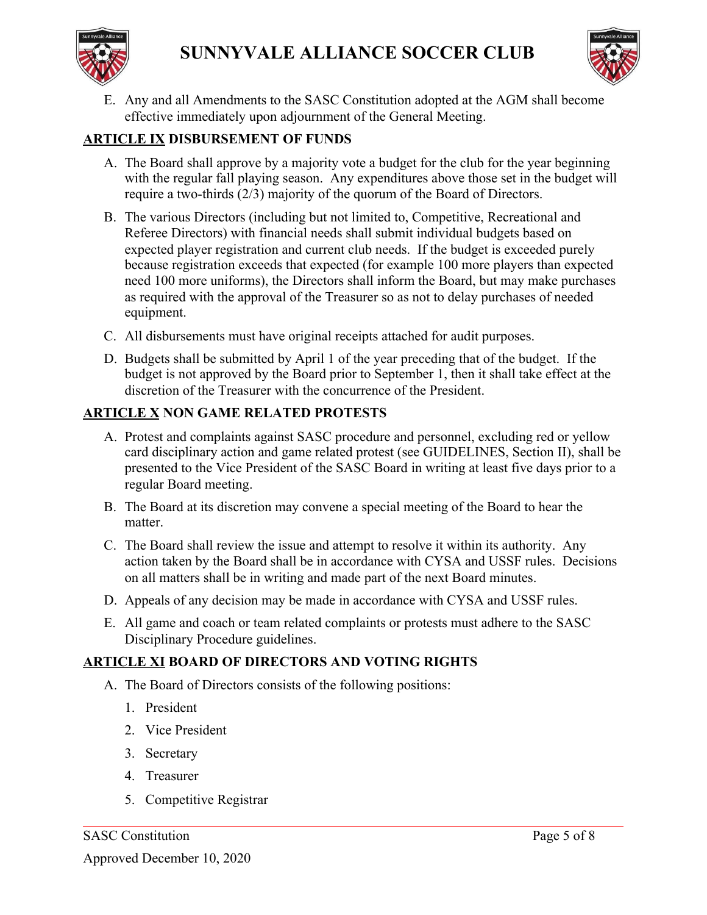



E. Any and all Amendments to the SASC Constitution adopted at the AGM shall become effective immediately upon adjournment of the General Meeting.

#### **ARTICLE IX DISBURSEMENT OF FUNDS**

- A. The Board shall approve by a majority vote a budget for the club for the year beginning with the regular fall playing season. Any expenditures above those set in the budget will require a two-thirds (2/3) majority of the quorum of the Board of Directors.
- B. The various Directors (including but not limited to, Competitive, Recreational and Referee Directors) with financial needs shall submit individual budgets based on expected player registration and current club needs. If the budget is exceeded purely because registration exceeds that expected (for example 100 more players than expected need 100 more uniforms), the Directors shall inform the Board, but may make purchases as required with the approval of the Treasurer so as not to delay purchases of needed equipment.
- C. All disbursements must have original receipts attached for audit purposes.
- D. Budgets shall be submitted by April 1 of the year preceding that of the budget. If the budget is not approved by the Board prior to September 1, then it shall take effect at the discretion of the Treasurer with the concurrence of the President.

#### **ARTICLE X NON GAME RELATED PROTESTS**

- A. Protest and complaints against SASC procedure and personnel, excluding red or yellow card disciplinary action and game related protest (see GUIDELINES, Section II), shall be presented to the Vice President of the SASC Board in writing at least five days prior to a regular Board meeting.
- B. The Board at its discretion may convene a special meeting of the Board to hear the matter.
- C. The Board shall review the issue and attempt to resolve it within its authority. Any action taken by the Board shall be in accordance with CYSA and USSF rules. Decisions on all matters shall be in writing and made part of the next Board minutes.
- D. Appeals of any decision may be made in accordance with CYSA and USSF rules.
- E. All game and coach or team related complaints or protests must adhere to the SASC Disciplinary Procedure guidelines.

#### **ARTICLE XI BOARD OF DIRECTORS AND VOTING RIGHTS**

- A. The Board of Directors consists of the following positions:
	- 1. President
	- 2. Vice President
	- 3. Secretary
	- 4. Treasurer
	- 5. Competitive Registrar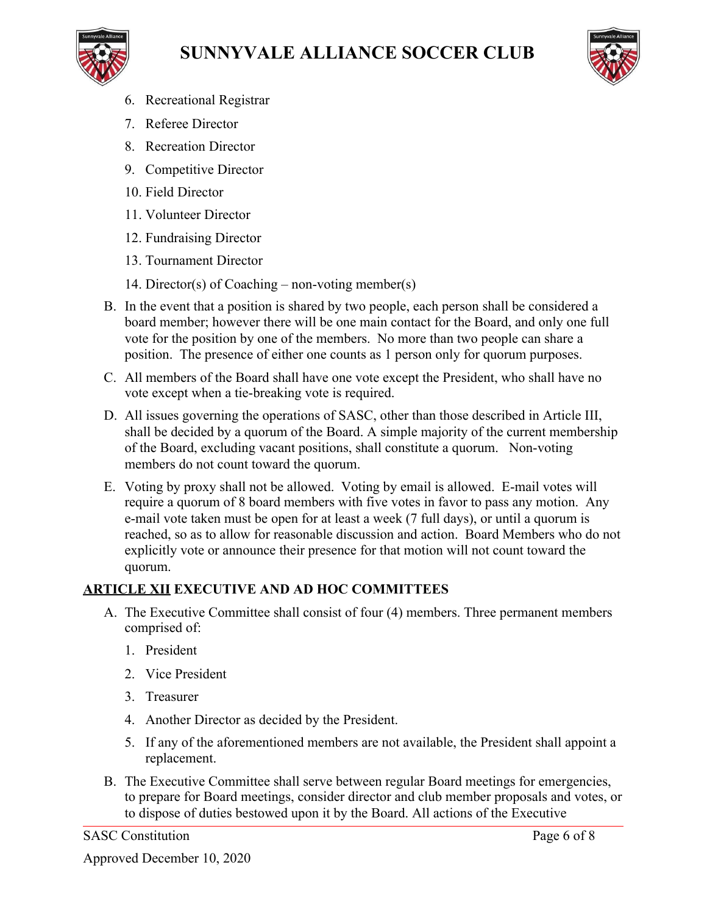





- 6. Recreational Registrar
- 7. Referee Director
- 8. Recreation Director
- 9. Competitive Director
- 10. Field Director
- 11. Volunteer Director
- 12. Fundraising Director
- 13. Tournament Director
- 14. Director(s) of Coaching non-voting member(s)
- B. In the event that a position is shared by two people, each person shall be considered a board member; however there will be one main contact for the Board, and only one full vote for the position by one of the members. No more than two people can share a position. The presence of either one counts as 1 person only for quorum purposes.
- C. All members of the Board shall have one vote except the President, who shall have no vote except when a tie-breaking vote is required.
- D. All issues governing the operations of SASC, other than those described in Article III, shall be decided by a quorum of the Board. A simple majority of the current membership of the Board, excluding vacant positions, shall constitute a quorum. Non-voting members do not count toward the quorum.
- E. Voting by proxy shall not be allowed. Voting by email is allowed. E-mail votes will require a quorum of 8 board members with five votes in favor to pass any motion. Any e-mail vote taken must be open for at least a week (7 full days), or until a quorum is reached, so as to allow for reasonable discussion and action. Board Members who do not explicitly vote or announce their presence for that motion will not count toward the quorum.

# **ARTICLE XII EXECUTIVE AND AD HOC COMMITTEES**

- A. The Executive Committee shall consist of four (4) members. Three permanent members comprised of:
	- 1. President
	- 2. Vice President
	- 3. Treasurer
	- 4. Another Director as decided by the President.
	- 5. If any of the aforementioned members are not available, the President shall appoint a replacement.
- B. The Executive Committee shall serve between regular Board meetings for emergencies, to prepare for Board meetings, consider director and club member proposals and votes, or to dispose of duties bestowed upon it by the Board. All actions of the Executive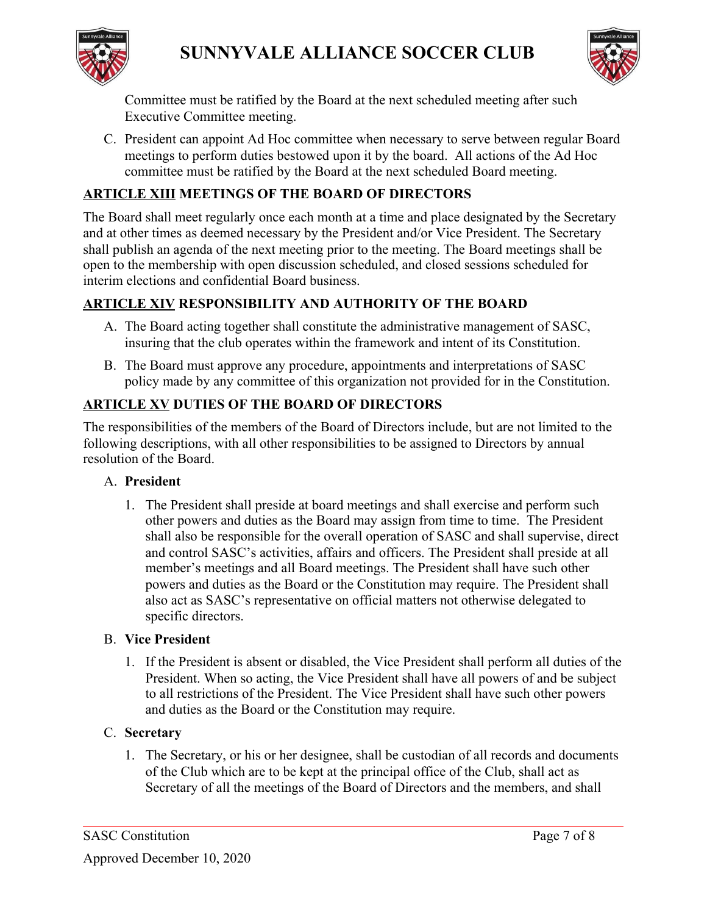



Committee must be ratified by the Board at the next scheduled meeting after such Executive Committee meeting.

C. President can appoint Ad Hoc committee when necessary to serve between regular Board meetings to perform duties bestowed upon it by the board. All actions of the Ad Hoc committee must be ratified by the Board at the next scheduled Board meeting.

# **ARTICLE XIII MEETINGS OF THE BOARD OF DIRECTORS**

The Board shall meet regularly once each month at a time and place designated by the Secretary and at other times as deemed necessary by the President and/or Vice President. The Secretary shall publish an agenda of the next meeting prior to the meeting. The Board meetings shall be open to the membership with open discussion scheduled, and closed sessions scheduled for interim elections and confidential Board business.

# **ARTICLE XIV RESPONSIBILITY AND AUTHORITY OF THE BOARD**

- A. The Board acting together shall constitute the administrative management of SASC, insuring that the club operates within the framework and intent of its Constitution.
- B. The Board must approve any procedure, appointments and interpretations of SASC policy made by any committee of this organization not provided for in the Constitution.

# **ARTICLE XV DUTIES OF THE BOARD OF DIRECTORS**

The responsibilities of the members of the Board of Directors include, but are not limited to the following descriptions, with all other responsibilities to be assigned to Directors by annual resolution of the Board.

#### A. **President**

1. The President shall preside at board meetings and shall exercise and perform such other powers and duties as the Board may assign from time to time. The President shall also be responsible for the overall operation of SASC and shall supervise, direct and control SASC's activities, affairs and officers. The President shall preside at all member's meetings and all Board meetings. The President shall have such other powers and duties as the Board or the Constitution may require. The President shall also act as SASC's representative on official matters not otherwise delegated to specific directors.

#### B. **Vice President**

1. If the President is absent or disabled, the Vice President shall perform all duties of the President. When so acting, the Vice President shall have all powers of and be subject to all restrictions of the President. The Vice President shall have such other powers and duties as the Board or the Constitution may require.

# C. **Secretary**

1. The Secretary, or his or her designee, shall be custodian of all records and documents of the Club which are to be kept at the principal office of the Club, shall act as Secretary of all the meetings of the Board of Directors and the members, and shall